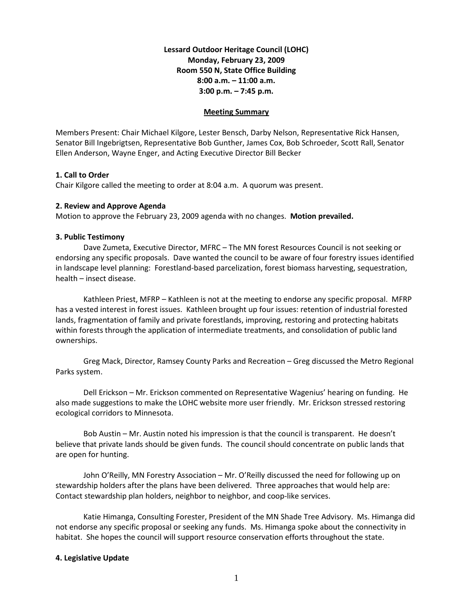# **Lessard Outdoor Heritage Council (LOHC) Monday, February 23, 2009 Room 550 N, State Office Building 8:00 a.m. – 11:00 a.m. 3:00 p.m. – 7:45 p.m.**

#### **Meeting Summary**

Members Present: Chair Michael Kilgore, Lester Bensch, Darby Nelson, Representative Rick Hansen, Senator Bill Ingebrigtsen, Representative Bob Gunther, James Cox, Bob Schroeder, Scott Rall, Senator Ellen Anderson, Wayne Enger, and Acting Executive Director Bill Becker

### **1. Call to Order**

Chair Kilgore called the meeting to order at 8:04 a.m. A quorum was present.

### **2. Review and Approve Agenda**

Motion to approve the February 23, 2009 agenda with no changes. **Motion prevailed.**

### **3. Public Testimony**

Dave Zumeta, Executive Director, MFRC – The MN forest Resources Council is not seeking or endorsing any specific proposals. Dave wanted the council to be aware of four forestry issues identified in landscape level planning: Forestland-based parcelization, forest biomass harvesting, sequestration, health – insect disease.

Kathleen Priest, MFRP – Kathleen is not at the meeting to endorse any specific proposal. MFRP has a vested interest in forest issues. Kathleen brought up four issues: retention of industrial forested lands, fragmentation of family and private forestlands, improving, restoring and protecting habitats within forests through the application of intermediate treatments, and consolidation of public land ownerships.

Greg Mack, Director, Ramsey County Parks and Recreation – Greg discussed the Metro Regional Parks system.

Dell Erickson – Mr. Erickson commented on Representative Wagenius' hearing on funding. He also made suggestions to make the LOHC website more user friendly. Mr. Erickson stressed restoring ecological corridors to Minnesota.

Bob Austin – Mr. Austin noted his impression is that the council is transparent. He doesn't believe that private lands should be given funds. The council should concentrate on public lands that are open for hunting.

John O'Reilly, MN Forestry Association – Mr. O'Reilly discussed the need for following up on stewardship holders after the plans have been delivered. Three approaches that would help are: Contact stewardship plan holders, neighbor to neighbor, and coop-like services.

Katie Himanga, Consulting Forester, President of the MN Shade Tree Advisory. Ms. Himanga did not endorse any specific proposal or seeking any funds. Ms. Himanga spoke about the connectivity in habitat. She hopes the council will support resource conservation efforts throughout the state.

#### **4. Legislative Update**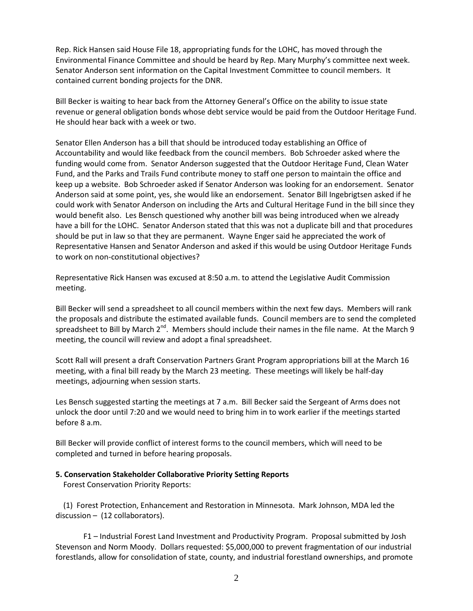Rep. Rick Hansen said House File 18, appropriating funds for the LOHC, has moved through the Environmental Finance Committee and should be heard by Rep. Mary Murphy's committee next week. Senator Anderson sent information on the Capital Investment Committee to council members. It contained current bonding projects for the DNR.

Bill Becker is waiting to hear back from the Attorney General's Office on the ability to issue state revenue or general obligation bonds whose debt service would be paid from the Outdoor Heritage Fund. He should hear back with a week or two.

Senator Ellen Anderson has a bill that should be introduced today establishing an Office of Accountability and would like feedback from the council members. Bob Schroeder asked where the funding would come from. Senator Anderson suggested that the Outdoor Heritage Fund, Clean Water Fund, and the Parks and Trails Fund contribute money to staff one person to maintain the office and keep up a website. Bob Schroeder asked if Senator Anderson was looking for an endorsement. Senator Anderson said at some point, yes, she would like an endorsement. Senator Bill Ingebrigtsen asked if he could work with Senator Anderson on including the Arts and Cultural Heritage Fund in the bill since they would benefit also. Les Bensch questioned why another bill was being introduced when we already have a bill for the LOHC. Senator Anderson stated that this was not a duplicate bill and that procedures should be put in law so that they are permanent. Wayne Enger said he appreciated the work of Representative Hansen and Senator Anderson and asked if this would be using Outdoor Heritage Funds to work on non-constitutional objectives?

Representative Rick Hansen was excused at 8:50 a.m. to attend the Legislative Audit Commission meeting.

Bill Becker will send a spreadsheet to all council members within the next few days. Members will rank the proposals and distribute the estimated available funds. Council members are to send the completed spreadsheet to Bill by March  $2^{nd}$ . Members should include their names in the file name. At the March 9 meeting, the council will review and adopt a final spreadsheet.

Scott Rall will present a draft Conservation Partners Grant Program appropriations bill at the March 16 meeting, with a final bill ready by the March 23 meeting. These meetings will likely be half-day meetings, adjourning when session starts.

Les Bensch suggested starting the meetings at 7 a.m. Bill Becker said the Sergeant of Arms does not unlock the door until 7:20 and we would need to bring him in to work earlier if the meetings started before 8 a.m.

Bill Becker will provide conflict of interest forms to the council members, which will need to be completed and turned in before hearing proposals.

#### **5. Conservation Stakeholder Collaborative Priority Setting Reports**

Forest Conservation Priority Reports:

 (1) Forest Protection, Enhancement and Restoration in Minnesota. Mark Johnson, MDA led the discussion – (12 collaborators).

F1 – Industrial Forest Land Investment and Productivity Program. Proposal submitted by Josh Stevenson and Norm Moody. Dollars requested: \$5,000,000 to prevent fragmentation of our industrial forestlands, allow for consolidation of state, county, and industrial forestland ownerships, and promote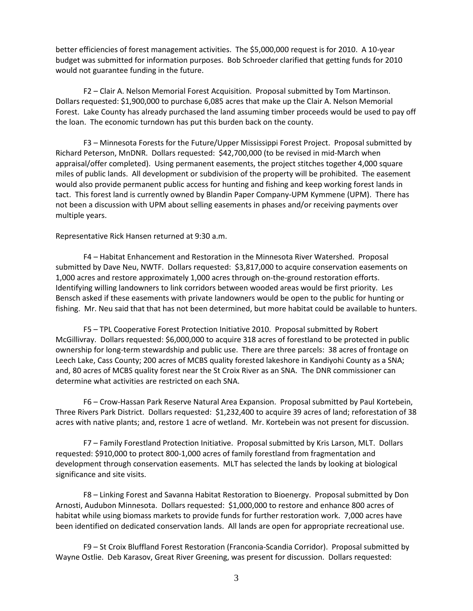better efficiencies of forest management activities. The \$5,000,000 request is for 2010. A 10-year budget was submitted for information purposes. Bob Schroeder clarified that getting funds for 2010 would not guarantee funding in the future.

F2 – Clair A. Nelson Memorial Forest Acquisition. Proposal submitted by Tom Martinson. Dollars requested: \$1,900,000 to purchase 6,085 acres that make up the Clair A. Nelson Memorial Forest. Lake County has already purchased the land assuming timber proceeds would be used to pay off the loan. The economic turndown has put this burden back on the county.

F3 – Minnesota Forests for the Future/Upper Mississippi Forest Project. Proposal submitted by Richard Peterson, MnDNR. Dollars requested: \$42,700,000 (to be revised in mid-March when appraisal/offer completed). Using permanent easements, the project stitches together 4,000 square miles of public lands. All development or subdivision of the property will be prohibited. The easement would also provide permanent public access for hunting and fishing and keep working forest lands in tact. This forest land is currently owned by Blandin Paper Company-UPM Kymmene (UPM). There has not been a discussion with UPM about selling easements in phases and/or receiving payments over multiple years.

Representative Rick Hansen returned at 9:30 a.m.

F4 – Habitat Enhancement and Restoration in the Minnesota River Watershed. Proposal submitted by Dave Neu, NWTF. Dollars requested: \$3,817,000 to acquire conservation easements on 1,000 acres and restore approximately 1,000 acres through on-the-ground restoration efforts. Identifying willing landowners to link corridors between wooded areas would be first priority. Les Bensch asked if these easements with private landowners would be open to the public for hunting or fishing. Mr. Neu said that that has not been determined, but more habitat could be available to hunters.

F5 – TPL Cooperative Forest Protection Initiative 2010. Proposal submitted by Robert McGillivray. Dollars requested: \$6,000,000 to acquire 318 acres of forestland to be protected in public ownership for long-term stewardship and public use. There are three parcels: 38 acres of frontage on Leech Lake, Cass County; 200 acres of MCBS quality forested lakeshore in Kandiyohi County as a SNA; and, 80 acres of MCBS quality forest near the St Croix River as an SNA. The DNR commissioner can determine what activities are restricted on each SNA.

F6 – Crow-Hassan Park Reserve Natural Area Expansion. Proposal submitted by Paul Kortebein, Three Rivers Park District. Dollars requested: \$1,232,400 to acquire 39 acres of land; reforestation of 38 acres with native plants; and, restore 1 acre of wetland. Mr. Kortebein was not present for discussion.

F7 – Family Forestland Protection Initiative. Proposal submitted by Kris Larson, MLT. Dollars requested: \$910,000 to protect 800-1,000 acres of family forestland from fragmentation and development through conservation easements. MLT has selected the lands by looking at biological significance and site visits.

F8 – Linking Forest and Savanna Habitat Restoration to Bioenergy. Proposal submitted by Don Arnosti, Audubon Minnesota. Dollars requested: \$1,000,000 to restore and enhance 800 acres of habitat while using biomass markets to provide funds for further restoration work. 7,000 acres have been identified on dedicated conservation lands. All lands are open for appropriate recreational use.

F9 – St Croix Bluffland Forest Restoration (Franconia-Scandia Corridor). Proposal submitted by Wayne Ostlie. Deb Karasov, Great River Greening, was present for discussion. Dollars requested: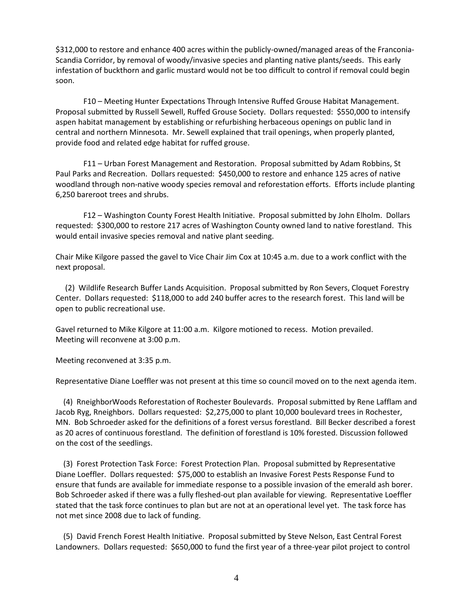\$312,000 to restore and enhance 400 acres within the publicly-owned/managed areas of the Franconia-Scandia Corridor, by removal of woody/invasive species and planting native plants/seeds. This early infestation of buckthorn and garlic mustard would not be too difficult to control if removal could begin soon.

F10 – Meeting Hunter Expectations Through Intensive Ruffed Grouse Habitat Management. Proposal submitted by Russell Sewell, Ruffed Grouse Society. Dollars requested: \$550,000 to intensify aspen habitat management by establishing or refurbishing herbaceous openings on public land in central and northern Minnesota. Mr. Sewell explained that trail openings, when properly planted, provide food and related edge habitat for ruffed grouse.

F11 – Urban Forest Management and Restoration. Proposal submitted by Adam Robbins, St Paul Parks and Recreation. Dollars requested: \$450,000 to restore and enhance 125 acres of native woodland through non-native woody species removal and reforestation efforts. Efforts include planting 6,250 bareroot trees and shrubs.

F12 – Washington County Forest Health Initiative. Proposal submitted by John Elholm. Dollars requested: \$300,000 to restore 217 acres of Washington County owned land to native forestland. This would entail invasive species removal and native plant seeding.

Chair Mike Kilgore passed the gavel to Vice Chair Jim Cox at 10:45 a.m. due to a work conflict with the next proposal.

 (2) Wildlife Research Buffer Lands Acquisition. Proposal submitted by Ron Severs, Cloquet Forestry Center. Dollars requested: \$118,000 to add 240 buffer acres to the research forest. This land will be open to public recreational use.

Gavel returned to Mike Kilgore at 11:00 a.m. Kilgore motioned to recess. Motion prevailed. Meeting will reconvene at 3:00 p.m.

Meeting reconvened at 3:35 p.m.

Representative Diane Loeffler was not present at this time so council moved on to the next agenda item.

 (4) RneighborWoods Reforestation of Rochester Boulevards. Proposal submitted by Rene Lafflam and Jacob Ryg, Rneighbors. Dollars requested: \$2,275,000 to plant 10,000 boulevard trees in Rochester, MN. Bob Schroeder asked for the definitions of a forest versus forestland. Bill Becker described a forest as 20 acres of continuous forestland. The definition of forestland is 10% forested. Discussion followed on the cost of the seedlings.

 (3) Forest Protection Task Force: Forest Protection Plan. Proposal submitted by Representative Diane Loeffler. Dollars requested: \$75,000 to establish an Invasive Forest Pests Response Fund to ensure that funds are available for immediate response to a possible invasion of the emerald ash borer. Bob Schroeder asked if there was a fully fleshed-out plan available for viewing. Representative Loeffler stated that the task force continues to plan but are not at an operational level yet. The task force has not met since 2008 due to lack of funding.

 (5) David French Forest Health Initiative. Proposal submitted by Steve Nelson, East Central Forest Landowners. Dollars requested: \$650,000 to fund the first year of a three-year pilot project to control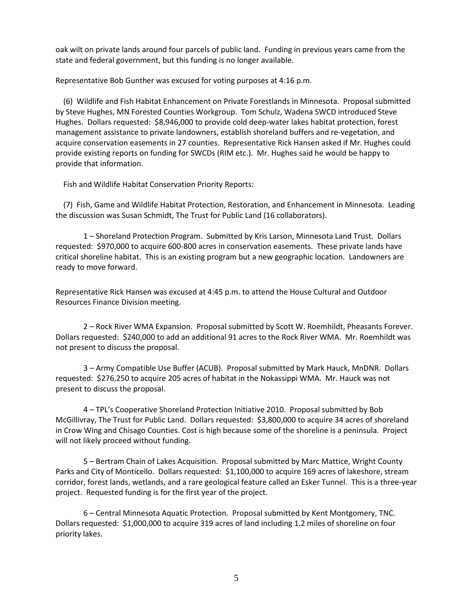oak wilt on private lands around four parcels of public land. Funding in previous years came from the state and federal government, but this funding is no longer available.

Representative Bob Gunther was excused for voting purposes at 4:16 p.m.

 (6) Wildlife and Fish Habitat Enhancement on Private Forestlands in Minnesota. Proposal submitted by Steve Hughes, MN Forested Counties Workgroup. Tom Schulz, Wadena SWCD introduced Steve Hughes. Dollars requested: \$8,946,000 to provide cold deep-water lakes habitat protection, forest management assistance to private landowners, establish shoreland buffers and re-vegetation, and acquire conservation easements in 27 counties. Representative Rick Hansen asked if Mr. Hughes could provide existing reports on funding for SWCDs (RIM etc.). Mr. Hughes said he would be happy to provide that information.

Fish and Wildlife Habitat Conservation Priority Reports:

 (7) Fish, Game and Wildlife Habitat Protection, Restoration, and Enhancement in Minnesota. Leading the discussion was Susan Schmidt, The Trust for Public Land (16 collaborators).

1 – Shoreland Protection Program. Submitted by Kris Larson, Minnesota Land Trust. Dollars requested: \$970,000 to acquire 600-800 acres in conservation easements. These private lands have critical shoreline habitat. This is an existing program but a new geographic location. Landowners are ready to move forward.

Representative Rick Hansen was excused at 4:45 p.m. to attend the House Cultural and Outdoor Resources Finance Division meeting.

2 – Rock River WMA Expansion. Proposal submitted by Scott W. Roemhildt, Pheasants Forever. Dollars requested: \$240,000 to add an additional 91 acres to the Rock River WMA. Mr. Roemhildt was not present to discuss the proposal.

3 – Army Compatible Use Buffer (ACUB). Proposal submitted by Mark Hauck, MnDNR. Dollars requested: \$276,250 to acquire 205 acres of habitat in the Nokassippi WMA. Mr. Hauck was not present to discuss the proposal.

4 – TPL's Cooperative Shoreland Protection Initiative 2010. Proposal submitted by Bob McGillivray, The Trust for Public Land. Dollars requested: \$3,800,000 to acquire 34 acres of shoreland in Crow Wing and Chisago Counties. Cost is high because some of the shoreline is a peninsula. Project will not likely proceed without funding.

5 – Bertram Chain of Lakes Acquisition. Proposal submitted by Marc Mattice, Wright County Parks and City of Monticello. Dollars requested: \$1,100,000 to acquire 169 acres of lakeshore, stream corridor, forest lands, wetlands, and a rare geological feature called an Esker Tunnel. This is a three-year project. Requested funding is for the first year of the project.

6 – Central Minnesota Aquatic Protection. Proposal submitted by Kent Montgomery, TNC. Dollars requested: \$1,000,000 to acquire 319 acres of land including 1.2 miles of shoreline on four priority lakes.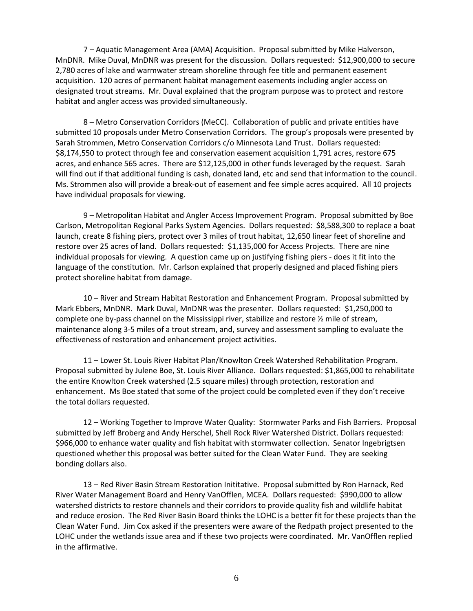7 – Aquatic Management Area (AMA) Acquisition. Proposal submitted by Mike Halverson, MnDNR. Mike Duval, MnDNR was present for the discussion. Dollars requested: \$12,900,000 to secure 2,780 acres of lake and warmwater stream shoreline through fee title and permanent easement acquisition. 120 acres of permanent habitat management easements including angler access on designated trout streams. Mr. Duval explained that the program purpose was to protect and restore habitat and angler access was provided simultaneously.

8 – Metro Conservation Corridors (MeCC). Collaboration of public and private entities have submitted 10 proposals under Metro Conservation Corridors. The group's proposals were presented by Sarah Strommen, Metro Conservation Corridors c/o Minnesota Land Trust. Dollars requested: \$8,174,550 to protect through fee and conservation easement acquisition 1,791 acres, restore 675 acres, and enhance 565 acres. There are \$12,125,000 in other funds leveraged by the request. Sarah will find out if that additional funding is cash, donated land, etc and send that information to the council. Ms. Strommen also will provide a break-out of easement and fee simple acres acquired. All 10 projects have individual proposals for viewing.

9 – Metropolitan Habitat and Angler Access Improvement Program. Proposal submitted by Boe Carlson, Metropolitan Regional Parks System Agencies. Dollars requested: \$8,588,300 to replace a boat launch, create 8 fishing piers, protect over 3 miles of trout habitat, 12,650 linear feet of shoreline and restore over 25 acres of land. Dollars requested: \$1,135,000 for Access Projects. There are nine individual proposals for viewing. A question came up on justifying fishing piers - does it fit into the language of the constitution. Mr. Carlson explained that properly designed and placed fishing piers protect shoreline habitat from damage.

10 – River and Stream Habitat Restoration and Enhancement Program. Proposal submitted by Mark Ebbers, MnDNR. Mark Duval, MnDNR was the presenter. Dollars requested: \$1,250,000 to complete one by-pass channel on the Mississippi river, stabilize and restore ½ mile of stream, maintenance along 3-5 miles of a trout stream, and, survey and assessment sampling to evaluate the effectiveness of restoration and enhancement project activities.

11 – Lower St. Louis River Habitat Plan/Knowlton Creek Watershed Rehabilitation Program. Proposal submitted by Julene Boe, St. Louis River Alliance. Dollars requested: \$1,865,000 to rehabilitate the entire Knowlton Creek watershed (2.5 square miles) through protection, restoration and enhancement. Ms Boe stated that some of the project could be completed even if they don't receive the total dollars requested.

12 – Working Together to Improve Water Quality: Stormwater Parks and Fish Barriers. Proposal submitted by Jeff Broberg and Andy Herschel, Shell Rock River Watershed District. Dollars requested: \$966,000 to enhance water quality and fish habitat with stormwater collection. Senator Ingebrigtsen questioned whether this proposal was better suited for the Clean Water Fund. They are seeking bonding dollars also.

13 – Red River Basin Stream Restoration Inititative. Proposal submitted by Ron Harnack, Red River Water Management Board and Henry VanOfflen, MCEA. Dollars requested: \$990,000 to allow watershed districts to restore channels and their corridors to provide quality fish and wildlife habitat and reduce erosion. The Red River Basin Board thinks the LOHC is a better fit for these projects than the Clean Water Fund. Jim Cox asked if the presenters were aware of the Redpath project presented to the LOHC under the wetlands issue area and if these two projects were coordinated. Mr. VanOfflen replied in the affirmative.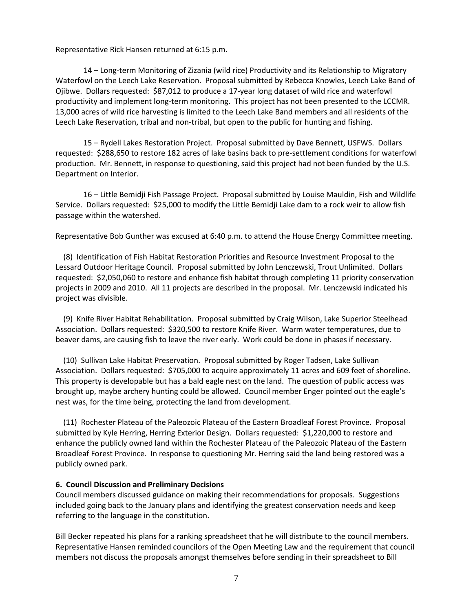Representative Rick Hansen returned at 6:15 p.m.

14 – Long-term Monitoring of Zizania (wild rice) Productivity and its Relationship to Migratory Waterfowl on the Leech Lake Reservation. Proposal submitted by Rebecca Knowles, Leech Lake Band of Ojibwe. Dollars requested: \$87,012 to produce a 17-year long dataset of wild rice and waterfowl productivity and implement long-term monitoring. This project has not been presented to the LCCMR. 13,000 acres of wild rice harvesting is limited to the Leech Lake Band members and all residents of the Leech Lake Reservation, tribal and non-tribal, but open to the public for hunting and fishing.

15 – Rydell Lakes Restoration Project. Proposal submitted by Dave Bennett, USFWS. Dollars requested: \$288,650 to restore 182 acres of lake basins back to pre-settlement conditions for waterfowl production. Mr. Bennett, in response to questioning, said this project had not been funded by the U.S. Department on Interior.

16 – Little Bemidji Fish Passage Project. Proposal submitted by Louise Mauldin, Fish and Wildlife Service. Dollars requested: \$25,000 to modify the Little Bemidji Lake dam to a rock weir to allow fish passage within the watershed.

Representative Bob Gunther was excused at 6:40 p.m. to attend the House Energy Committee meeting.

 (8) Identification of Fish Habitat Restoration Priorities and Resource Investment Proposal to the Lessard Outdoor Heritage Council. Proposal submitted by John Lenczewski, Trout Unlimited. Dollars requested: \$2,050,060 to restore and enhance fish habitat through completing 11 priority conservation projects in 2009 and 2010. All 11 projects are described in the proposal. Mr. Lenczewski indicated his project was divisible.

 (9) Knife River Habitat Rehabilitation. Proposal submitted by Craig Wilson, Lake Superior Steelhead Association. Dollars requested: \$320,500 to restore Knife River. Warm water temperatures, due to beaver dams, are causing fish to leave the river early. Work could be done in phases if necessary.

 (10) Sullivan Lake Habitat Preservation. Proposal submitted by Roger Tadsen, Lake Sullivan Association. Dollars requested: \$705,000 to acquire approximately 11 acres and 609 feet of shoreline. This property is developable but has a bald eagle nest on the land. The question of public access was brought up, maybe archery hunting could be allowed. Council member Enger pointed out the eagle's nest was, for the time being, protecting the land from development.

 (11) Rochester Plateau of the Paleozoic Plateau of the Eastern Broadleaf Forest Province. Proposal submitted by Kyle Herring, Herring Exterior Design. Dollars requested: \$1,220,000 to restore and enhance the publicly owned land within the Rochester Plateau of the Paleozoic Plateau of the Eastern Broadleaf Forest Province. In response to questioning Mr. Herring said the land being restored was a publicly owned park.

## **6. Council Discussion and Preliminary Decisions**

Council members discussed guidance on making their recommendations for proposals. Suggestions included going back to the January plans and identifying the greatest conservation needs and keep referring to the language in the constitution.

Bill Becker repeated his plans for a ranking spreadsheet that he will distribute to the council members. Representative Hansen reminded councilors of the Open Meeting Law and the requirement that council members not discuss the proposals amongst themselves before sending in their spreadsheet to Bill